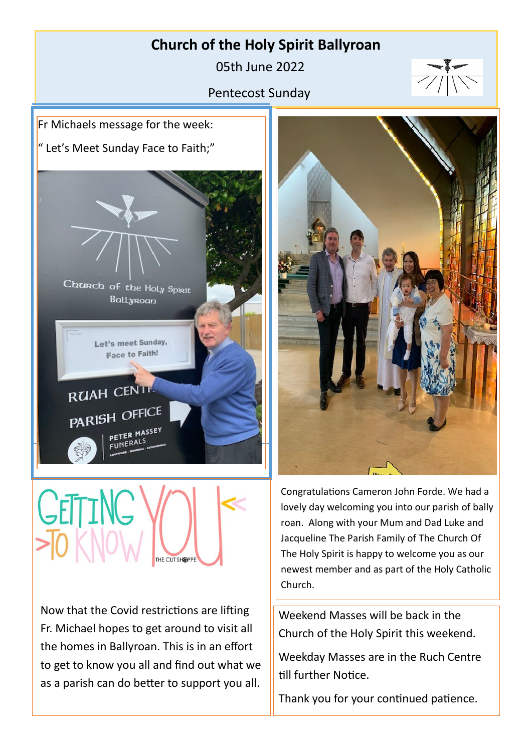# **Church of the Holy Spirit Ballyroan**

05th June 2022



Pentecost Sunday

Fr Michaels message for the week: " Let's Meet Sunday Face to Faith;"



THE CUT SHOP

Now that the Covid restrictions are lifting Fr. Michael hopes to get around to visit all the homes in Ballyroan. This is in an effort to get to know you all and find out what we as a parish can do better to support you all.



Congratulations Cameron John Forde. We had a lovely day welcoming you into our parish of bally roan. Along with your Mum and Dad Luke and Jacqueline The Parish Family of The Church Of The Holy Spirit is happy to welcome you as our newest member and as part of the Holy Catholic Church.

Weekend Masses will be back in the Church of the Holy Spirit this weekend.

Weekday Masses are in the Ruch Centre till further Notice.

Thank you for your continued patience.